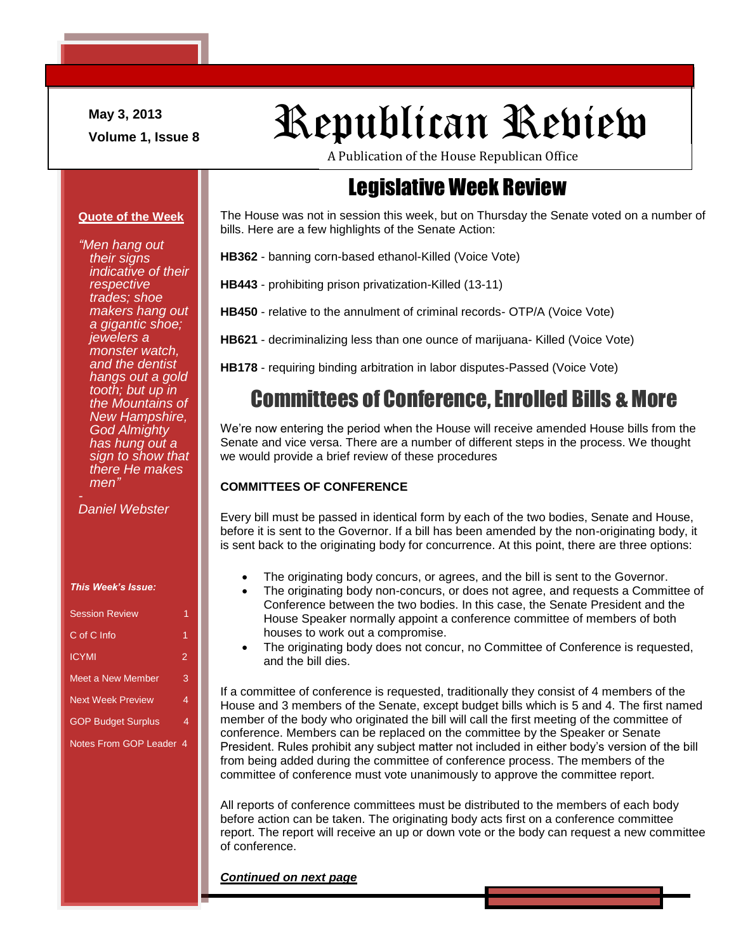**May 3, 2013**

# May 3, 2013<br>Volume 1, Issue 8<br>**Republican Review**

A Publication of the House Republican Office

### Legislative Week Review

#### The House was not in session this week, but on Thursday the Senate voted on a number of bills. Here are a few highlights of the Senate Action:

**HB362** - banning corn-based ethanol-Killed (Voice Vote)

**HB443** - prohibiting prison privatization-Killed (13-11)

**HB450** - relative to the annulment of criminal records- OTP/A (Voice Vote)

**HB621** - decriminalizing less than one ounce of marijuana- Killed (Voice Vote)

**HB178** - requiring binding arbitration in labor disputes-Passed (Voice Vote)

### Committees of Conference, Enrolled Bills & More

We're now entering the period when the House will receive amended House bills from the Senate and vice versa. There are a number of different steps in the process. We thought we would provide a brief review of these procedures

### **COMMITTEES OF CONFERENCE**

Every bill must be passed in identical form by each of the two bodies, Senate and House, before it is sent to the Governor. If a bill has been amended by the non-originating body, it is sent back to the originating body for concurrence. At this point, there are three options:

- The originating body concurs, or agrees, and the bill is sent to the Governor.
- The originating body non-concurs, or does not agree, and requests a Committee of Conference between the two bodies. In this case, the Senate President and the House Speaker normally appoint a conference committee of members of both houses to work out a compromise.
- The originating body does not concur, no Committee of Conference is requested, and the bill dies.

If a committee of conference is requested, traditionally they consist of 4 members of the House and 3 members of the Senate, except budget bills which is 5 and 4. The first named member of the body who originated the bill will call the first meeting of the committee of conference. Members can be replaced on the committee by the Speaker or Senate President. Rules prohibit any subject matter not included in either body's version of the bill from being added during the committee of conference process. The members of the committee of conference must vote unanimously to approve the committee report.

All reports of conference committees must be distributed to the members of each body before action can be taken. The originating body acts first on a conference committee report. The report will receive an up or down vote or the body can request a new committee of conference.

#### *Continued on next page*

#### **Quote of the Week**

*"Men hang out their signs indicative of their respective trades; shoe makers hang out a gigantic shoe; jewelers a monster watch, and the dentist hangs out a gold tooth; but up in the Mountains of New Hampshire, God Almighty has hung out a sign to show that there He makes men"*

*Daniel Webster*

| This Week's Issue: |  |  |
|--------------------|--|--|
|                    |  |  |

| <b>Session Review</b>     |                |
|---------------------------|----------------|
| C of C Info               | 1              |
| <b>ICYMI</b>              | $\overline{2}$ |
| Meet a New Member         | 3              |
| <b>Next Week Preview</b>  | 4              |
| <b>GOP Budget Surplus</b> | 4              |
| Notes From GOP Leader 4   |                |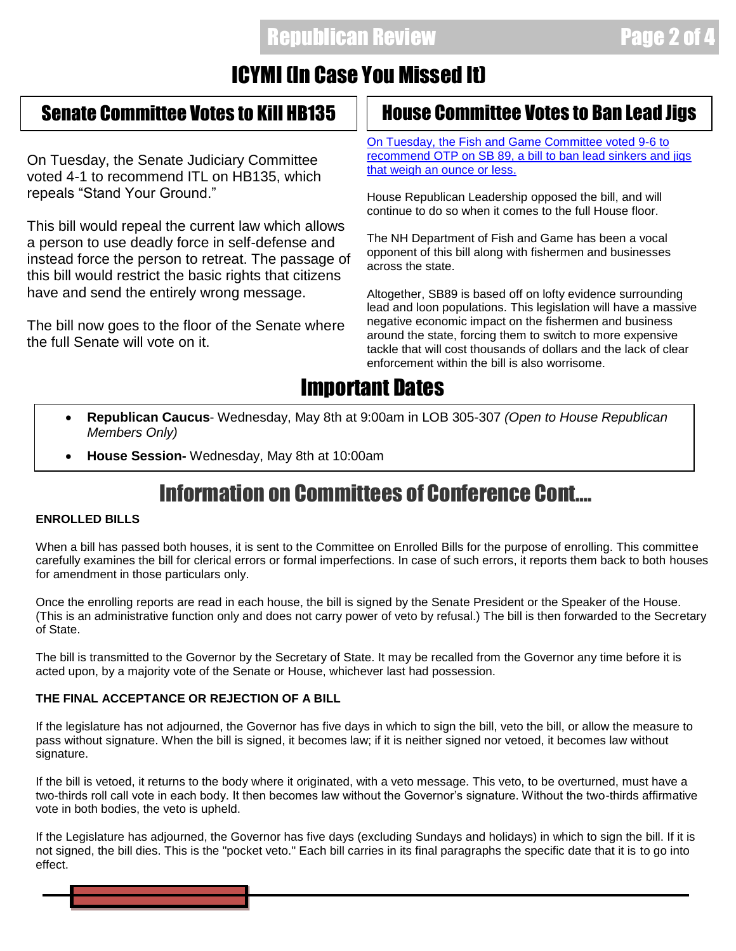### Republican Review Page 2 of 4

### ICYMI (In Case You Missed It)

On Tuesday, the Senate Judiciary Committee voted 4-1 to recommend ITL on HB135, which repeals "Stand Your Ground."

This bill would repeal the current law which allows a person to use deadly force in self-defense and instead force the person to retreat. The passage of this bill would restrict the basic rights that citizens have and send the entirely wrong message.

The bill now goes to the floor of the Senate where the full Senate will vote on it.

### Senate Committee Votes to Kill HB135 **House Committee Votes to Ban Lead Jigs**

[On Tuesday, the Fish and Game Committee voted 9-6 to](http://www.unionleader.com/article/20130501/NEWS06/130509948)  recommend [OTP on SB 89, a bill to ban lead sinkers and jigs](http://www.unionleader.com/article/20130501/NEWS06/130509948)  [that weigh an ounce or less.](http://www.unionleader.com/article/20130501/NEWS06/130509948)

House Republican Leadership opposed the bill, and will continue to do so when it comes to the full House floor.

The NH Department of Fish and Game has been a vocal opponent of this bill along with fishermen and businesses across the state.

Altogether, SB89 is based off on lofty evidence surrounding lead and loon populations. This legislation will have a massive negative economic impact on the fishermen and business around the state, forcing them to switch to more expensive tackle that will cost thousands of dollars and the lack of clear enforcement within the bill is also worrisome.

### Important Dates

- **Republican Caucus** Wednesday, May 8th at 9:00am in LOB 305-307 *(Open to House Republican Members Only)*
- **House Session-** Wednesday, May 8th at 10:00am

### Information on Committees of Conference Cont….

### **ENROLLED BILLS**

When a bill has passed both houses, it is sent to the Committee on Enrolled Bills for the purpose of enrolling. This committee carefully examines the bill for clerical errors or formal imperfections. In case of such errors, it reports them back to both houses for amendment in those particulars only.

Once the enrolling reports are read in each house, the bill is signed by the Senate President or the Speaker of the House. (This is an administrative function only and does not carry power of veto by refusal.) The bill is then forwarded to the Secretary of State.

The bill is transmitted to the Governor by the Secretary of State. It may be recalled from the Governor any time before it is acted upon, by a majority vote of the Senate or House, whichever last had possession.

#### **THE FINAL ACCEPTANCE OR REJECTION OF A BILL**

If the legislature has not adjourned, the Governor has five days in which to sign the bill, veto the bill, or allow the measure to pass without signature. When the bill is signed, it becomes law; if it is neither signed nor vetoed, it becomes law without signature.

If the bill is vetoed, it returns to the body where it originated, with a veto message. This veto, to be overturned, must have a two-thirds roll call vote in each body. It then becomes law without the Governor's signature. Without the two-thirds affirmative vote in both bodies, the veto is upheld.

If the Legislature has adjourned, the Governor has five days (excluding Sundays and holidays) in which to sign the bill. If it is not signed, the bill dies. This is the "pocket veto." Each bill carries in its final paragraphs the specific date that it is to go into effect.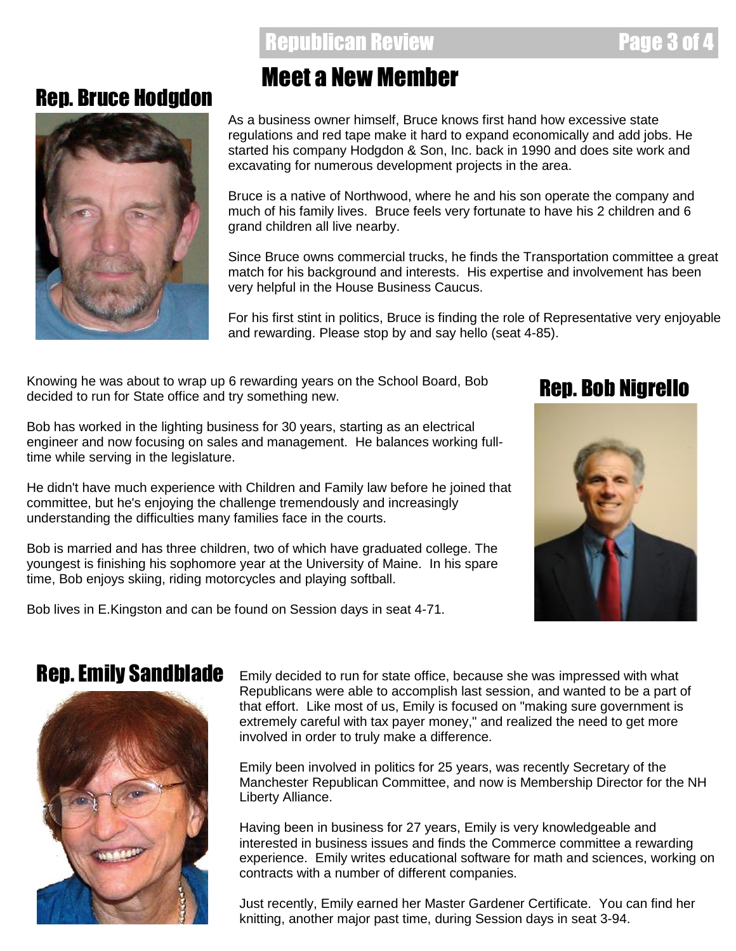### Republican Review Page 3 of 4

### Rep. Bruce Hodgdon



## Meet a New Member

As a business owner himself, Bruce knows first hand how excessive state regulations and red tape make it hard to expand economically and add jobs. He started his company Hodgdon & Son, Inc. back in 1990 and does site work and excavating for numerous development projects in the area.

Bruce is a native of Northwood, where he and his son operate the company and much of his family lives. Bruce feels very fortunate to have his 2 children and 6 grand children all live nearby.

Since Bruce owns commercial trucks, he finds the Transportation committee a great match for his background and interests. His expertise and involvement has been very helpful in the House Business Caucus.

For his first stint in politics, Bruce is finding the role of Representative very enjoyable and rewarding. Please stop by and say hello (seat 4-85).

Knowing he was about to wrap up 6 rewarding years on the School Board, Bob decided to run for State office and try something new.

Bob has worked in the lighting business for 30 years, starting as an electrical engineer and now focusing on sales and management. He balances working fulltime while serving in the legislature.

He didn't have much experience with Children and Family law before he joined that committee, but he's enjoying the challenge tremendously and increasingly understanding the difficulties many families face in the courts.

 $\frac{1}{2}\frac{1}{2}\frac{1}{2}\frac{1}{2}\frac{1}{2}$ Bob is married and has three children, two of which have graduated college. The youngest is finishing his sophomore year at the University of Maine. In his spare time, Bob enjoys skiing, riding motorcycles and playing softball.

Bob lives in E.Kingston and can be found on Session days in seat 4-71.

### Rep. Bob Nigrello



### Rep. Emily Sandblade



Emily decided to run for state office, because she was impressed with what Republicans were able to accomplish last session, and wanted to be a part of that effort. Like most of us, Emily is focused on "making sure government is extremely careful with tax payer money," and realized the need to get more involved in order to truly make a difference.

Emily been involved in politics for 25 years, was recently Secretary of the Manchester Republican Committee, and now is Membership Director for the NH Liberty Alliance.

Having been in business for 27 years, Emily is very knowledgeable and interested in business issues and finds the Commerce committee a rewarding experience. Emily writes educational software for math and sciences, working on contracts with a number of different companies.

Just recently, Emily earned her Master Gardener Certificate. You can find her knitting, another major past time, during Session days in seat 3-94.